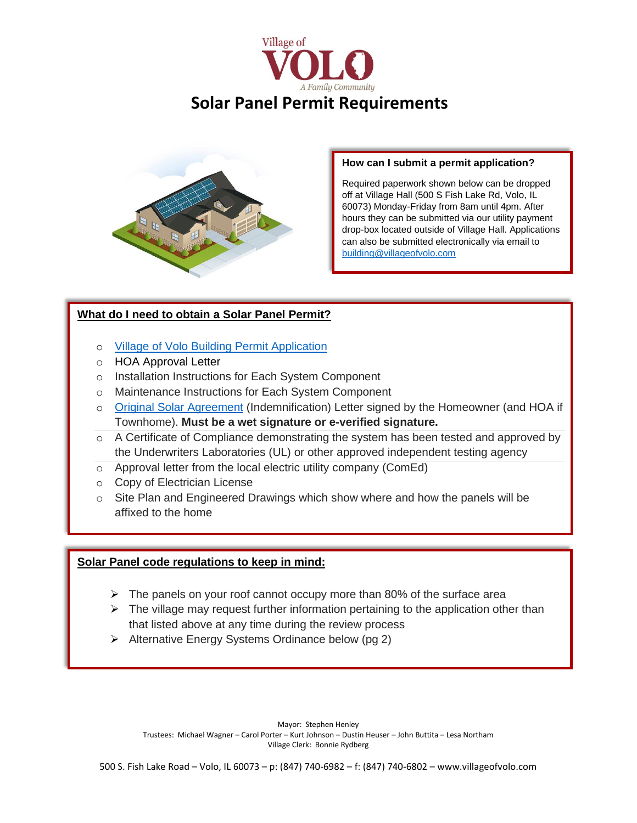



## **How can I submit a permit application?**

Required paperwork shown below can be dropped off at Village Hall (500 S Fish Lake Rd, Volo, IL 60073) Monday-Friday from 8am until 4pm. After hours they can be submitted via our utility payment drop-box located outside of Village Hall. Applications can also be submitted electronically via email to [building@villageofvolo.com](mailto:building@villageofvolo.com)

# **What do I need to obtain a Solar Panel Permit?**

- o [Village of Volo Building Permit Application](http://www.villageofvolo.com/DocumentCenter/View/970/Village-of-Volo-Building-Permit-Application-PDF)
- o HOA Approval Letter
- o Installation Instructions for Each System Component
- o Maintenance Instructions for Each System Component
- o [Original Solar Agreement](http://www.villageofvolo.com/DocumentCenter/View/713/Solar---Owners-Agreement-and-Consent-Letter) (Indemnification) Letter signed by the Homeowner (and HOA if Townhome). **Must be a wet signature or e-verified signature.**
- o A Certificate of Compliance demonstrating the system has been tested and approved by the Underwriters Laboratories (UL) or other approved independent testing agency
- o Approval letter from the local electric utility company (ComEd)
- o Copy of Electrician License
- $\circ$  Site Plan and Engineered Drawings which show where and how the panels will be affixed to the home

## **Solar Panel code regulations to keep in mind:**

- $\triangleright$  The panels on your roof cannot occupy more than 80% of the surface area
- $\triangleright$  The village may request further information pertaining to the application other than that listed above at any time during the review process
- ➢ Alternative Energy Systems Ordinance below (pg 2)

Mayor: Stephen Henley Trustees: Michael Wagner – Carol Porter – Kurt Johnson – Dustin Heuser – John Buttita – Lesa Northam Village Clerk: Bonnie Rydberg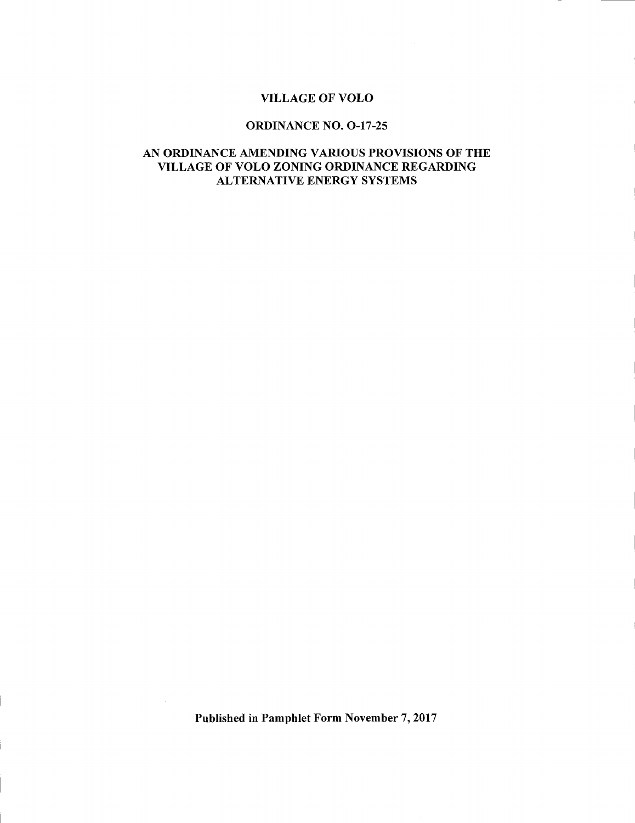## VILLAGE OF VOLO

## ORDINANCE NO. O-17-25

## AN ORDINANCE AMENDING VARIOUS PROVISIONS OF THE VILLAGE OF VOLO ZONING ORDINANCE REGARDING ALTERNATIVE ENERGY SYSTEMS

Published in Pamphlet Form November 7, 2017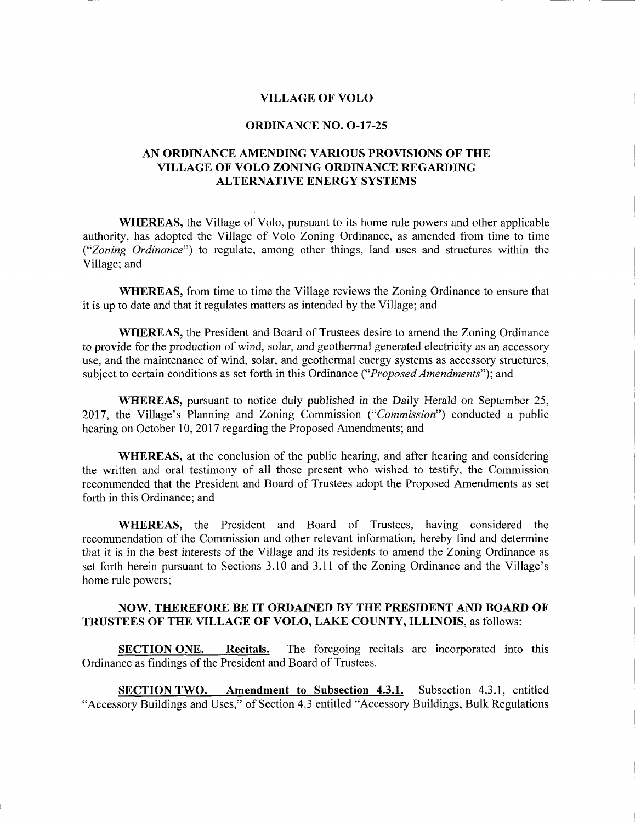#### VILLAGE OF VOLO

#### ORDINANCE NO. O-17-25

## AN ORDINANCE AMENDING VARIOUS PROVISIONS OF THE VILLAGE OF VOLO ZONING ORDINANCE REGARDING ALTERNATIVE ENERGY SYSTEMS

WHEREAS, the Village of Volo, pursuant to its home rule powers and other applicable authority, has adopted the Village of Volo Zoning Ordinance, as amended from time to time ("Zoning Ordinance") to regulate, among other things, land uses and structures within the Village; and

WHEREAS, from time to time the Village reviews the Zoning Ordinance to ensure that it is up to date and that it regulates matters as intended by the Village; and

WHEREAS, the President and Board of Trustees desire to amend the Zoning Ordinance to provide for the production of wind, solar, and geothermal generated electricity as an accessory use, and the maintenance of wind, solar, and geothermal energy systems as accessory structures, subject to certain conditions as set forth in this Ordinance ("*Proposed Amendments*"); and

WHEREAS, pursuant to notice duly published in the Daily Herald on September 25, 2017, the Village's Planning and Zoning Commission ("Commission") conducted a public hearing on October 10, 2017 regarding the Proposed Amendments; and

WHEREAS, at the conclusion of the public hearing, and after hearing and considering the written and oral testimony of all those present who wished to testify, the Commission recommended that the President and Board of Trustees adopt the Proposed Amendments as set forth in this Ordinance; and

WHEREAS, the President and Board of Trustees, having considered the recommendation of the Commission and other relevant information, hereby find and determine that it is in the best interests of the Village and its residents to amend the Zoning Ordinance as set forth herein pursuant to Sections 3.10 and 3.11 of the Zoning Ordinance and the Village's home rule powers;

#### NOW, THEREFORE BE IT ORDAINED BY THE PRESIDENT AND BOARD OF TRUSTEES OF THE VILLAGE OF VOLO, LAKE COUNTY, ILLINOIS, as follows:

SECTION ONE. Recitals. The foregoing recitals are incorporated into this Ordinance as findings of the President and Board of Trustees.

SECTION TWO. Amendment to Subsection 4.3.1. Subsection 4.3.1, entitled "Accessory Buildings and Uses," of Section 4.3 entitled "Accessory Buildings, Bulk Regulations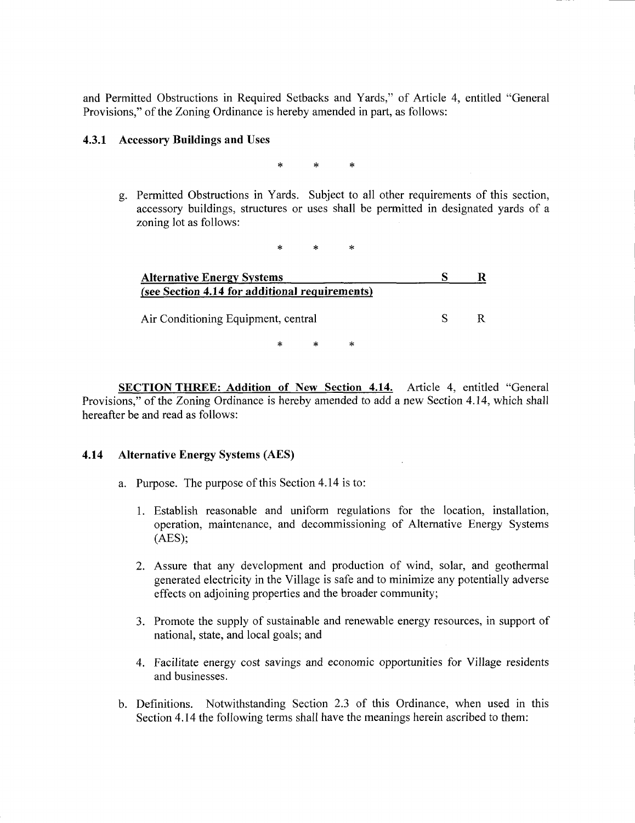and Permitted Obstructions in Required Setbacks and Yards," of Article 4, entitled "General Provisions," of the Zoning Ordinance is hereby amended in part, as follows:

#### 4.3.1 Accessory Buildings and Uses

 $\star$ 

g. Permitted Obstructions in Yards. Subject to all other requirements of this section, accessory buildings, structures or uses shall be permitted in designated yards of <sup>a</sup> zoning lot as follows:

| <b>Alternative Energy Systems</b>              |   |  |   |  |
|------------------------------------------------|---|--|---|--|
| (see Section 4.14 for additional requirements) |   |  |   |  |
| Air Conditioning Equipment, central            |   |  |   |  |
|                                                | * |  | ∗ |  |

SECTION THREE: Addition of New Section 4.14. Article 4, entitled "General Provisions," of the Zoning Ordinance is hereby amended to add a new Section 4.14, which shall hereafter be and read as follows:

### 4. 14 Alternative Energy Systems (AES)

- a. Purpose. The purpose of this Section 4.14 is to:
	- 1. Establish reasonable and uniform regulations for the location, installation, operation, maintenance, and decommissioning of Alternative Energy Systems  $(AES)$ ;
	- 2. Assure that any development and production of wind, solar, and geothermal generated electricity in the Village is safe and to minimize any potentially adverse effects on adjoining properties and the broader community;
	- 3. Promote the supply of sustainable and renewable energy resources, in support of national, state, and local goals; and
	- 4. Facilitate energy cost savings and economic opportunities for Village residents and businesses.
- b. Definitions. Notwithstanding Section 2.3 of this Ordinance, when used in this Section 4. <sup>14</sup> the following terms shall have the meanings herein ascribed to them: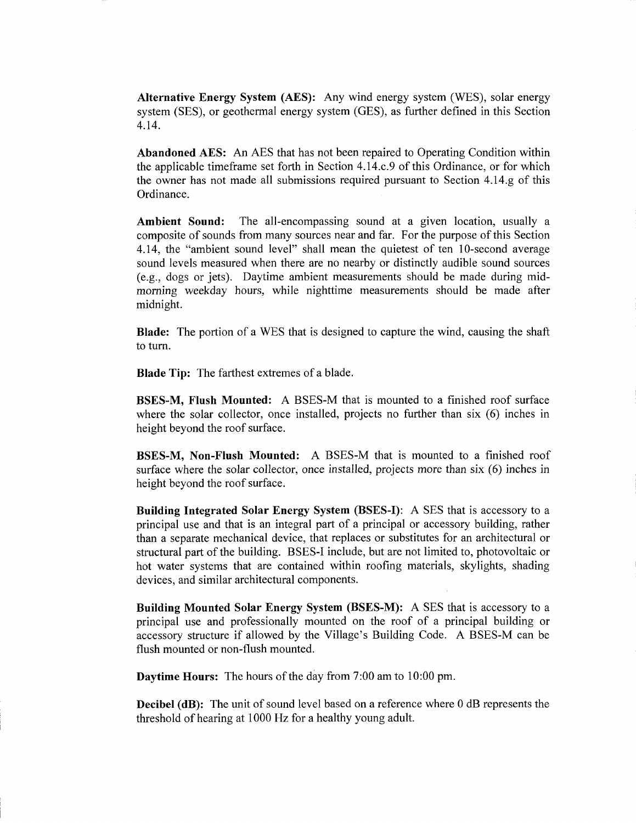Alternative Energy System (AES): Any wind energy system (WES), solar energy system (SES), or geothermal energy system (GES), as further defined in this Section 4. 14.

Abandoned AES: An AES that has not been repaired to Operating Condition within the applicable timeframe set forth in Section 4. 14. c. <sup>9</sup> of this Ordinance, or for which the owner has not made all submissions required pursuant to Section 4.14.g of this Ordinance.

Ambient Sound: The all-encompassing sound at a given location, usually a composite of sounds from many sources near and far. For the purpose of this Section 4.14, the "ambient sound level" shall mean the quietest of ten 10-second average sound levels measured when there are no nearby or distinctly audible sound sources  $(e.g., dogs or jets)$ . Daytime ambient measurements should be made during midmorning weekday hours, while nighttime measurements should be made after midnight.

Blade: The portion of <sup>a</sup> WES that is designed to capture the wind, causing the shaft to turn.

Blade Tip: The farthest extremes of <sup>a</sup> blade.

BSES-M, Flush Mounted: A BSES-M that is mounted to <sup>a</sup> finished roof surface where the solar collector, once installed, projects no further than  $six(6)$  inches in height beyond the roof surface.

**BSES-M, Non-Flush Mounted:** A BSES-M that is mounted to a finished roof surface where the solar collector, once installed, projects more than six (6) inches in height beyond the roof surface.

Building Integrated Solar Energy System (BSES-I): A SES that is accessory to a principal use and that is an integral part of <sup>a</sup> principal or accessory building, rather than <sup>a</sup> separate mechanical device, that replaces or substitutes for an architectural or structural part of the building. BSES-I include, but are not limited to, photovoltaic or hot water systems that are contained within roofing materials, skylights, shading devices, and similar architectural components.

Building Mounted Solar Energy System (BSES-M): A SES that is accessory to a principal use and professionally mounted on the roof of <sup>a</sup> principal building or accessory structure if allowed by the Village's Building Code. A BSES-M can be flush mounted or non-flush mounted.

Daytime Hours: The hours of the day from 7:00 am to 10:00 pm.

Decibel (dB): The unit of sound level based on <sup>a</sup> reference where 0 dB represents the threshold of hearing at 1000 Hz for a healthy young adult.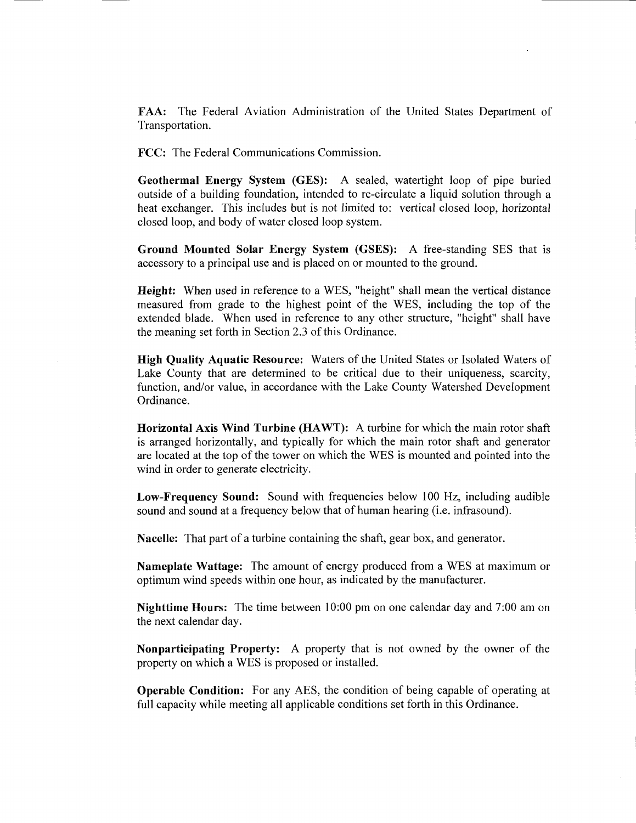FAA: The Federal Aviation Administration of the United States Department of Transportation.

FCC: The Federal Communications Commission.

Geothermal Energy System (GES): A sealed, watertight loop of pipe buried outside of <sup>a</sup> building foundation, intended to re- circulate <sup>a</sup> liquid solution through <sup>a</sup> heat exchanger. This includes but is not limited to: vertical closed loop, horizontal closed loop, and body of water closed loop system.

Ground Mounted Solar Energy System (GSES): A free-standing SES that is accessory to a principal use and is placed on or mounted to the ground.

Height: When used in reference to a WES, "height" shall mean the vertical distance measured from grade to the highest point of the WES, including the top of the extended blade. When used in reference to any other structure, " height" shall have the meaning set forth in Section 2.3 of this Ordinance.

High Quality Aquatic Resource: Waters of the United States or Isolated Waters of Lake County that are determined to be critical due to their uniqueness, scarcity, function, and/or value, in accordance with the Lake County Watershed Development Ordinance.

Horizontal Axis Wind Turbine (HAWT): A turbine for which the main rotor shaft is arranged horizontally, and typically for which the main rotor shaft and generator are located at the top of the tower on which the WES is mounted and pointed into the wind in order to generate electricity.

Low-Frequency Sound: Sound with frequencies below <sup>100</sup> Hz, including audible sound and sound at <sup>a</sup> frequency below that of human hearing (i.e. infrasound).

Nacelle: That part of <sup>a</sup> turbine containing the shaft, gear box, and generator.

Nameplate Wattage: The amount of energy produced from <sup>a</sup> WES at maximum or optimum wind speeds within one hour, as indicated by the manufacturer.

Nighttime Hours: The time between 10:00 pm on one calendar day and 7:00 am on the next calendar day.

Nonparticipating Property: A property that is not owned by the owner of the property on which a WES is proposed or installed.

Operable Condition: For any AES, the condition of being capable of operating at full capacity while meeting all applicable conditions set forth in this Ordinance.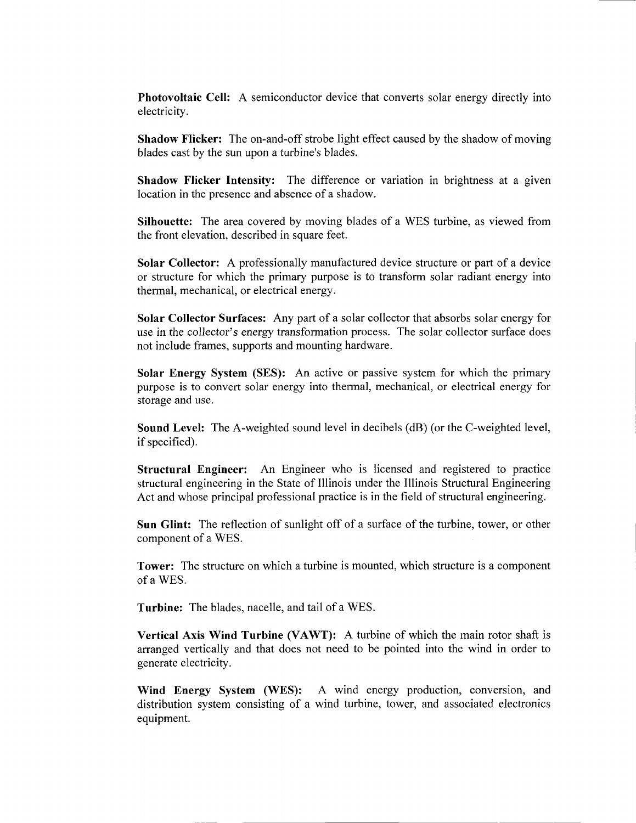Photovoltaic Cell: A semiconductor device that converts solar energy directly into electricity.

**Shadow Flicker:** The on-and-off strobe light effect caused by the shadow of moving blades cast by the sun upon a turbine's blades.

Shadow Flicker Intensity: The difference or variation in brightness at <sup>a</sup> given location in the presence and absence of <sup>a</sup> shadow.

Silhouette: The area covered by moving blades of <sup>a</sup> WES turbine, as viewed from the front elevation, described in square feet.

Solar Collector: A professionally manufactured device structure or part of <sup>a</sup> device or structure for which the primary purpose is to transform solar radiant energy into thermal, mechanical, or electrical energy.

Solar Collector Surfaces: Any part of <sup>a</sup> solar collector that absorbs solar energy for use in the collector's energy transformation process. The solar collector surface does not include frames, supports and mounting hardware.

Solar Energy System (SES): An active or passive system for which the primary purpose is to convert solar energy into thermal, mechanical, or electrical energy for storage and use.

Sound Level: The A-weighted sound level in decibels (dB) (or the C-weighted level, if specified).

Structural Engineer: An Engineer who is licensed and registered to practice structural engineering in the State of Illinois under the Illinois Structural Engineering Act and whose principal professional practice is in the field of structural engineering.

Sun Glint: The reflection of sunlight off of <sup>a</sup> surface of the turbine, tower, or other component of <sup>a</sup> WES.

Tower: The structure on which a turbine is mounted, which structure is <sup>a</sup> component of <sup>a</sup> WES.

Turbine: The blades, nacelle, and tail of <sup>a</sup> WES.

Vertical Axis Wind Turbine (VAWT): A turbine of which the main rotor shaft is arranged vertically and that does not need to be pointed into the wind in order to generate electricity.

Wind Energy System (WES): A wind energy production, conversion, and distribution system consisting of <sup>a</sup> wind turbine, tower, and associated electronics equipment.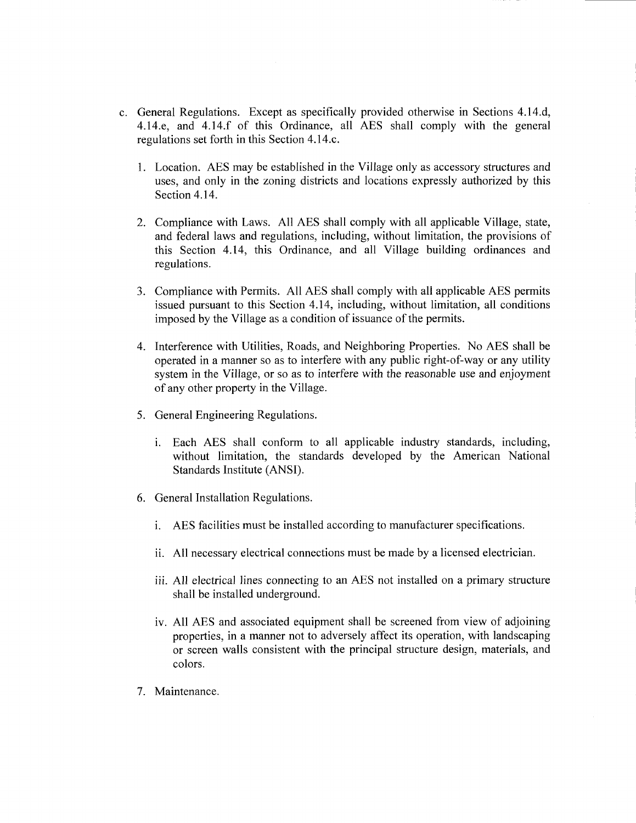- c. General Regulations. Except as specifically provided otherwise in Sections 4. 14. d, 4.14.e, and 4.14.f of this Ordinance, all AES shall comply with the general regulations set forth in this Section 4. 14. c.
	- 1. Location. AES may be established in the Village only as accessory structures and uses, and only in the zoning districts and locations expressly authorized by this Section 4.14.
	- 2. Compliance with Laws. All AES shall comply with all applicable Village, state, and federal laws and regulations, including, without limitation, the provisions of this Section 4.14, this Ordinance, and all Village building ordinances and regulations.
	- 3. Compliance with Permits. All AES shall comply with all applicable AES permits issued pursuant to this Section 4.14, including, without limitation, all conditions imposed by the Village as <sup>a</sup> condition of issuance of the permits.
	- 4. Interference with Utilities, Roads, and Neighboring Properties. No AES shall be operated in <sup>a</sup> manner so as to interfere with any public right-of-way or any utility system in the Village, or so as to interfere with the reasonable use and enjoyment of any other property in the Village.
	- 5. General Engineering Regulations.
		- i. Each AES shall conform to all applicable industry standards, including, without limitation, the standards developed by the American National Standards Institute (ANSI).
	- 6. General Installation Regulations.
		- i. AES facilities must be installed according to manufacturer specifications.
		- ii. All necessary electrical connections must be made by <sup>a</sup> licensed electrician.
		- iii. All electrical lines connecting to an AES not installed on <sup>a</sup> primary structure shall be installed underground.
		- iv. All AES and associated equipment shall be screened from view of adjoining properties, in a manner not to adversely affect its operation, with landscaping or screen walls consistent with the principal structure design, materials, and colors.
	- 7. Maintenance.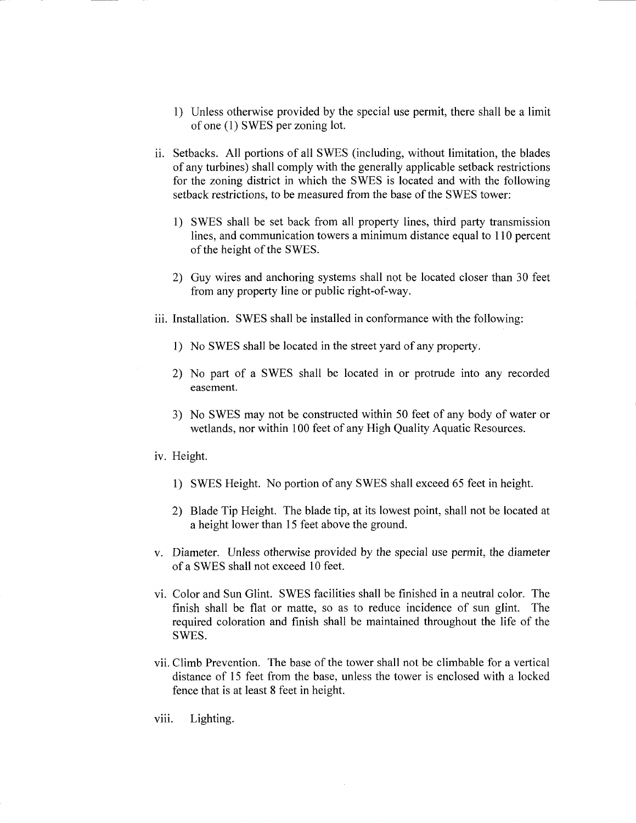- 1) Unless otherwise provided by the special use permit, there shall be <sup>a</sup> limit of one (1) SWES per zoning lot.
- ii. Setbacks. All portions of all SWES ( including, without limitation, the blades of any turbines) shall comply with the generally applicable setback restrictions for the zoning district in which the SWES is located and with the following setback restrictions, to be measured from the base of the SWES tower:
	- 1) SWES shall be set back from all property lines, third party transmission lines, and communication towers a minimum distance equal to 110 percent of the height of the SWES.
	- 2) Guy wires and anchoring systems shall not be located closer than 30 feet from any property line or public right-of-way.
- iii. Installation. SWES shall be installed in conformance with the following:
	- 1) No SWES shall be located in the street yard of any property.
	- 2) No part of <sup>a</sup> SWES shall be located in or protrude into any recorded easement.
	- 3) No SWES may not be constructed within 50 feet of any body of water or wetlands, nor within 100 feet of any High Quality Aquatic Resources.
- iv. Height.
	- 1) SWES Height. No portion of any SWES shall exceed 65 feet in height.
	- 2) Blade Tip Height. The blade tip, at its lowest point, shall not be located at a height lower than 15 feet above the ground.
- v. Diameter. Unless otherwise provided by the special use permit, the diameter of <sup>a</sup> SWES shall not exceed <sup>10</sup> feet.
- vi. Color and Sun Glint. SWES facilities shall be finished in <sup>a</sup> neutral color. The finish shall be flat or matte, so as to reduce incidence of sun glint. The required coloration and finish shall be maintained throughout the life of the SWES.
- vii. Climb Prevention. The base of the tower shall not be climbable for <sup>a</sup> vertical distance of <sup>15</sup> feet from the base, unless the tower is enclosed with <sup>a</sup> locked fence that is at least 8 feet in height.
- viii. Lighting.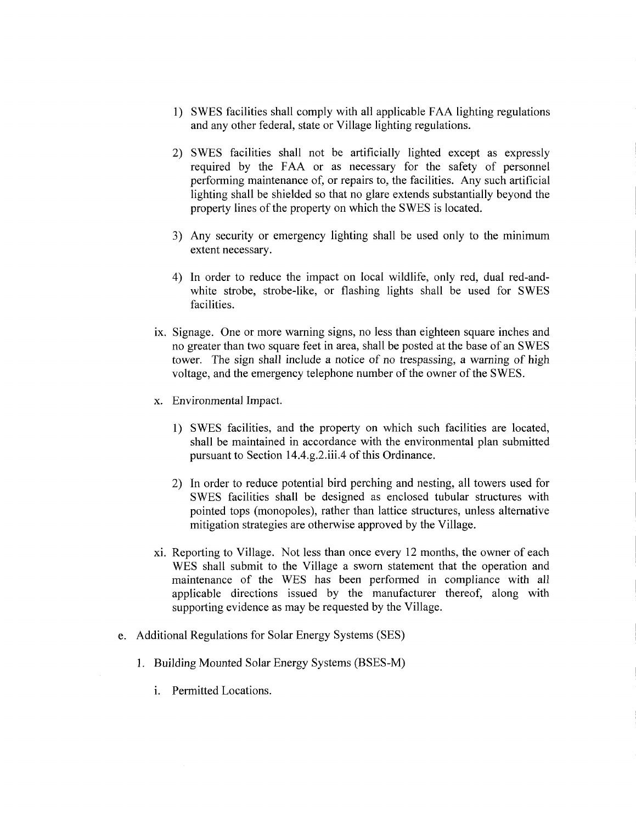- 1) SWES facilities shall comply with all applicable FAA lighting regulations and any other federal, state or Village lighting regulations.
- 2) SWES facilities shall not be artificially lighted except as expressly required by the FAA or as necessary for the safety of personnel performing maintenance of, or repairs to, the facilities. Any such artificial lighting shall be shielded so that no glare extends substantially beyond the property lines of the property on which the SWES is located.
- 3) Any security or emergency lighting shall be used only to the minimum extent necessary.
- 4) In order to reduce the impact on local wildlife, only red, dual red-andwhite strobe, strobe-like, or flashing lights shall be used for SWES facilities.
- ix. Signage. One or more warning signs, no less than eighteen square inches and no greater than two square feet in area, shall be posted at the base of an SWES tower. The sign shall include <sup>a</sup> notice of no trespassing, a warning of high voltage, and the emergency telephone number of the owner of the SWES.
- x. Environmental Impact.
	- 1) SWES facilities, and the property on which such facilities are located, shall be maintained in accordance with the environmental plan submitted pursuant to Section 14.4.g.2.iii.4 of this Ordinance.
	- 2) In order to reduce potential bird perching and nesting, all towers used for SWES facilities shall be designed as enclosed tubular structures with pointed tops (monopoles), rather than lattice structures, unless alternative mitigation strategies are otherwise approved by the Village.
- xi. Reporting to Village. Not less than once every <sup>12</sup> months, the owner of each WES shall submit to the Village a sworn statement that the operation and maintenance of the WES has been performed in compliance with all applicable directions issued by the manufacturer thereof, along with supporting evidence as may be requested by the Village.
- e. Additional Regulations for Solar Energy Systems ( SES)
	- 1. Building Mounted Solar Energy Systems (BSES-M)
		- i. Permitted Locations.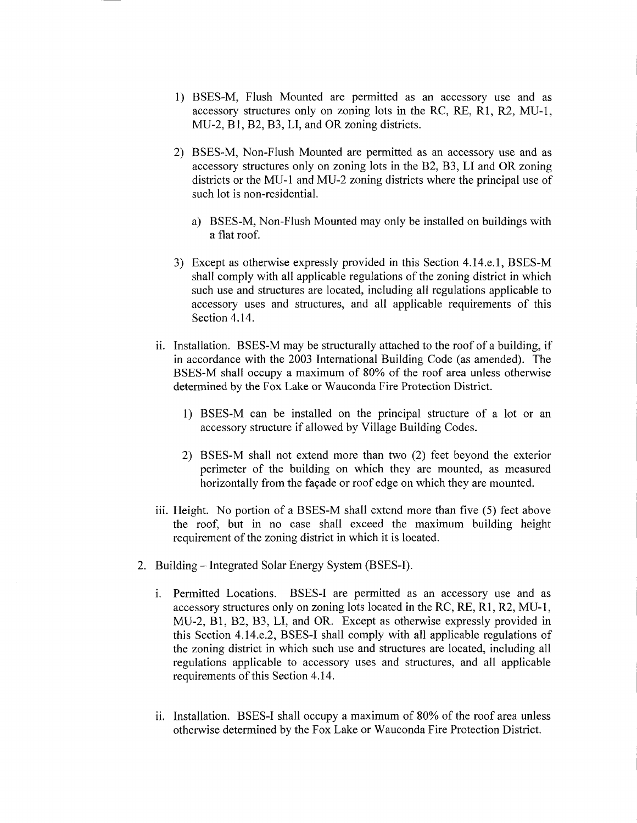- 1) BSES-M, Flush Mounted are permitted as an accessory use and as accessory structures only on zoning lots in the RC, RE, R1, R2, MU-1, MU-2, Bl, B2, B3, LI, and OR zoning districts.
- 2) BSES-M, Non-Flush Mounted are permitted as an accessory use and as accessory structures only on zoning lots in the B2, B3, LI and OR zoning districts or the MU-1 and MU-2 zoning districts where the principal use of such lot is non-residential.
	- a) BSES-M, Non-Flush Mounted may only be installed on buildings with a flat roof.
- 3) Except as otherwise expressly provided in this Section 4.14.e.1, BSES-M shall comply with all applicable regulations of the zoning district in which such use and structures are located, including all regulations applicable to accessory uses and structures, and all applicable requirements of this Section 4.14.
- ii. Installation. BSES-M may be structurally attached to the roof of a building, if in accordance with the 2003 International Building Code (as amended). The BSES-M shall occupy <sup>a</sup> maximum of 80% of the roof area unless otherwise determined by the Fox Lake or Wauconda Fire Protection District.
	- 1) BSES-M can be installed on the principal structure of a lot or an accessory structure if allowed by Village Building Codes.
	- 2) BSES-M shall not extend more than two (2) feet beyond the exterior perimeter of the building on which they are mounted, as measured horizontally from the façade or roof edge on which they are mounted.
- iii. Height. No portion of a BSES-M shall extend more than five (5) feet above the roof, but in no case shall exceed the maximum building height requirement of the zoning district in which it is located.
- 2. Building Integrated Solar Energy System (BSES-I).
	- i. Permitted Locations. BSES-I are permitted as an accessory use and as accessory structures only on zoning lots located in the RC, RE, R1, R2, MU-1, MU-2, B1, B2, B3, LI, and OR. Except as otherwise expressly provided in this Section 4.14.e.2, BSES-I shall comply with all applicable regulations of the zoning district in which such use and structures are located, including all regulations applicable to accessory uses and structures, and all applicable requirements of this Section 4. 14.
	- ii. Installation. BSES-I shall occupy <sup>a</sup> maximum of 80% of the roof area unless otherwise determined by the Fox Lake or Wauconda Fire Protection District.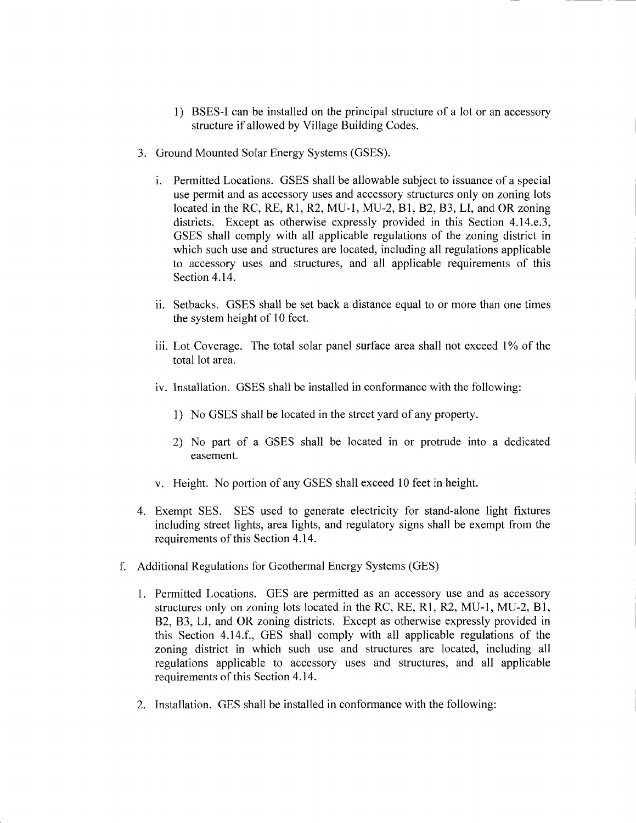- 1) BSES-I can be installed on the principal structure of <sup>a</sup> lot or an accessory structure if allowed by Village Building Codes.
- 3. Ground Mounted Solar Energy Systems (GSES).
	- i. Permitted Locations. GSES shall be allowable subject to issuance of <sup>a</sup> special use permit and as accessory uses and accessory structures only on zoning lots located in the RC, RE, R1, R2, MU-1, MU-2, B1, B2, B3, LI, and OR zoning districts. Except as otherwise expressly provided in this Section 4.14.e.3, GSES shall comply with all applicable regulations of the zoning district in which such use and structures are located, including all regulations applicable to accessory uses and structures, and all applicable requirements of this Section 4.14.
	- ii. Setbacks. GSES shall be set back <sup>a</sup> distance equal to or more than one times the system height of 10 feet.
	- iii. Lot Coverage. The total solar panel surface area shall not exceed 1% of the total lot area.
	- iv. Installation. GSES shall be installed in conformance with the following:
		- 1) No GSES shall be located in the street yard of any property.
		- 2) No part of <sup>a</sup> GSES shall be located in or protrude into <sup>a</sup> dedicated easement.
	- v. Height. No portion of any GSES shall exceed <sup>10</sup> feet in height.
- 4. Exempt SES. SES used to generate electricity for stand-alone light fixtures including street lights, area lights, and regulatory signs shall be exempt from the requirements of this Section 4. 14.
- f. Additional Regulations for Geothermal Energy Systems ( GES)
	- 1. Permitted Locations. GES are permitted as an accessory use and as accessory structures only on zoning lots located in the RC, RE, R1, R2, MU-1, MU-2, B1, B2, B3, LI, and OR zoning districts. Except as otherwise expressly provided in this Section 4. 14.f., GES shall comply with all applicable regulations of the zoning district in which such use and structures are located, including all regulations applicable to accessory uses and structures, and all applicable requirements of this Section 4. 14.
	- 2. Installation. GES shall be installed in conformance with the following: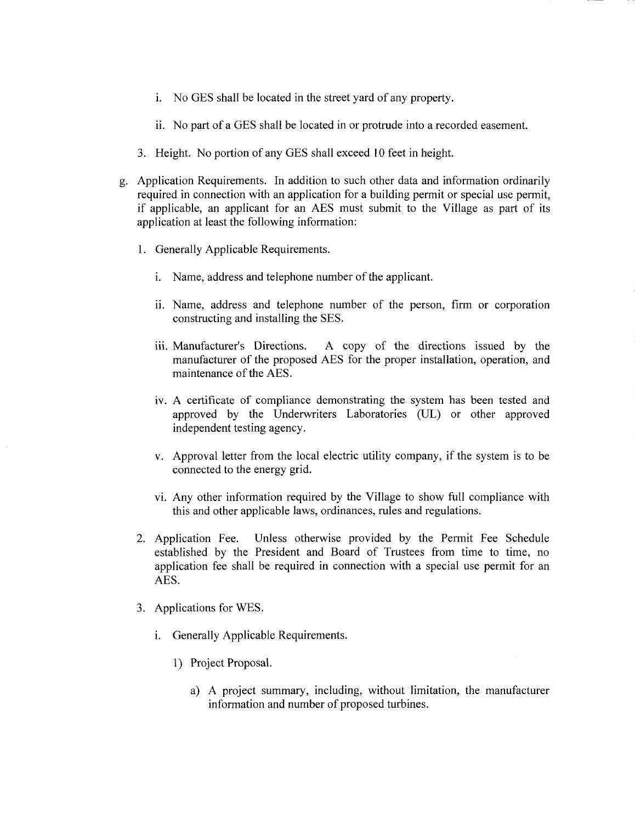- i. No GES shall be located in the street yard of any property.
- ii. No part of <sup>a</sup> GES shall be located in or protrude into <sup>a</sup> recorded easement.
- 3. Height. No portion of any GES shall exceed <sup>10</sup> feet in height.
- g. Application Requirements. In addition to such other data and information ordinarily required in connection with an application for <sup>a</sup> building permit or special use permit, if applicable, an applicant for an AES must submit to the Village as part of its application at least the following information:
	- 1. Generally Applicable Requirements.
		- i. Name, address and telephone number of the applicant.
		- ii. Name, address and telephone number of the person, firm or corporation constructing and installing the SES.
		- iii. Manufacturer's Directions. A copy of the directions issued by the manufacturer of the proposed AES for the proper installation, operation, and maintenance of the AES.
		- iv. A certificate of compliance demonstrating the system has been tested and approved by the Underwriters Laboratories (UL) or other approved independent testing agency.
		- v. Approval letter from the local electric utility company, if the system is to be connected to the energy grid.
		- vi. Any other information required by the Village to show full compliance with this and other applicable laws, ordinances, rules and regulations.
	- 2. Application Fee. Unless otherwise provided by the Permit Fee Schedule established by the President and Board of Trustees from time to time, no application fee shall be required in connection with a special use permit for an AES.
	- 3. Applications for WES.
		- i. Generally Applicable Requirements.
			- 1) Project Proposal.
				- a) A project summary, including, without limitation, the manufacturer information and number of proposed turbines.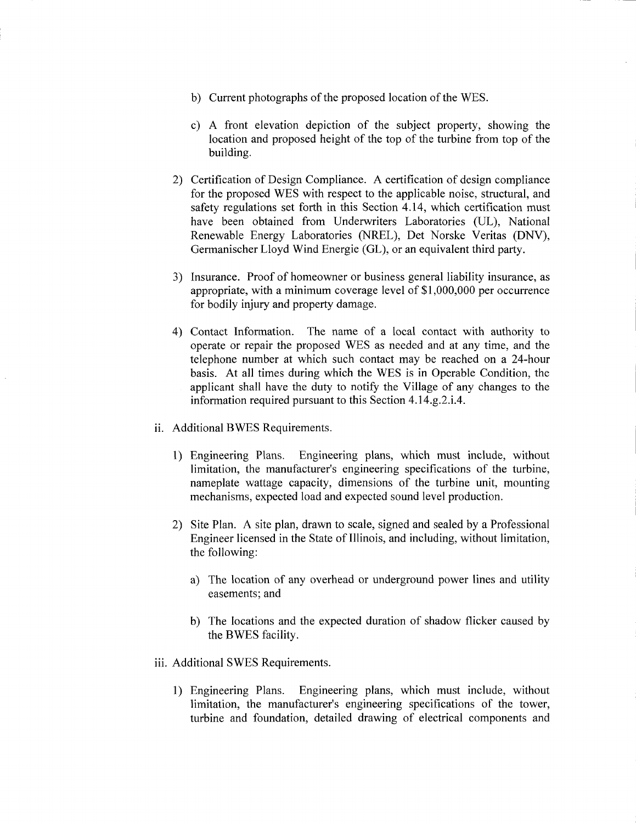- b) Current photographs of the proposed location of the WES.
- c) A front elevation depiction of the subject property, showing the location and proposed height of the top of the turbine from top of the building.
- 2) Certification of Design Compliance. A certification of design compliance for the proposed WES with respect to the applicable noise, structural, and safety regulations set forth in this Section 4.14, which certification must have been obtained from Underwriters Laboratories (UL), National Renewable Energy Laboratories (NREL), Det Norske Veritas (DNV), Germanischer Lloyd Wind Energie (GL), or an equivalent third party.
- 3) Insurance. Proof of homeowner or business general liability insurance, as appropriate, with a minimum coverage level of \$1,000,000 per occurrence for bodily injury and property damage.
- 4) Contact Information. The name of <sup>a</sup> local contact with authority to operate or repair the proposed WES as needed and at any time, and the telephone number at which such contact may be reached on a 24-hour basis. At all times during which the WES is in Operable Condition, the applicant shall have the duty to notify the Village of any changes to the information required pursuant to this Section 4.14.g.2.i.4.
- ii. Additional BWES Requirements.
	- 1) Engineering Plans. Engineering plans, which must include, without limitation, the manufacturer's engineering specifications of the turbine, nameplate wattage capacity, dimensions of the turbine unit, mounting mechanisms, expected load and expected sound level production.
	- 2) Site Plan. A site plan, drawn to scale, signed and sealed by <sup>a</sup> Professional Engineer licensed in the State of Illinois, and including, without limitation, the following:
		- a) The location of any overhead or underground power lines and utility easements; and
		- b) The locations and the expected duration of shadow flicker caused by the BWES facility.
- iii. Additional SWES Requirements.
	- 1) Engineering Plans. Engineering plans, which must include, without limitation, the manufacturer's engineering specifications of the tower, turbine and foundation, detailed drawing of electrical components and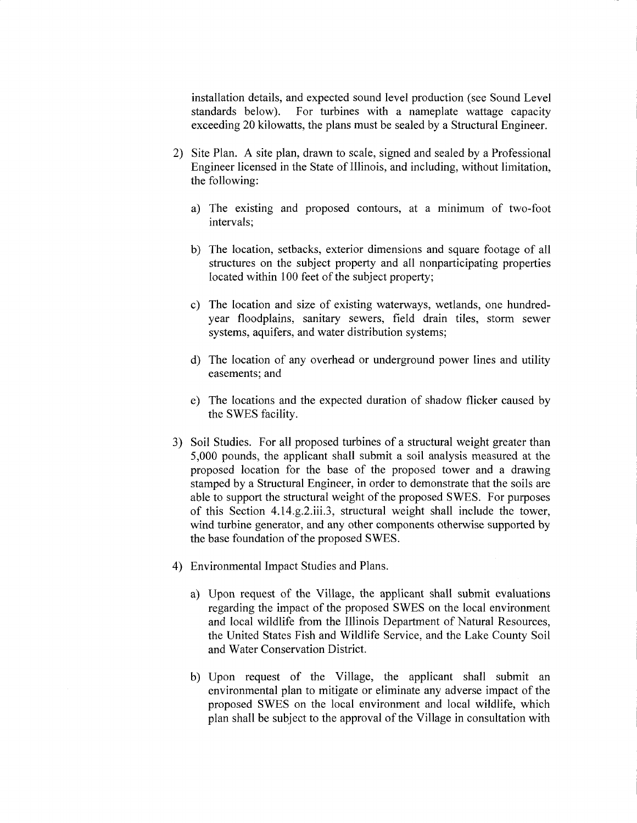installation details, and expected sound level production ( see Sound Level standards below). For turbines with <sup>a</sup> nameplate wattage capacity exceeding 20 kilowatts, the plans must be sealed by a Structural Engineer.

- 2) Site Plan. A site plan, drawn to scale, signed and sealed by <sup>a</sup> Professional Engineer licensed in the State of Illinois, and including, without limitation, the following:
	- a) The existing and proposed contours, at <sup>a</sup> minimum of two-foot intervals;
	- b) The location, setbacks, exterior dimensions and square footage of all structures on the subject property and all nonparticipating properties located within 100 feet of the subject property;
	- c) The location and size of existing waterways, wetlands, one hundredyear floodplains, sanitary sewers, field drain tiles, storm sewer systems, aquifers, and water distribution systems;
	- d) The location of any overhead or underground power lines and utility easements; and
	- e) The locations and the expected duration of shadow flicker caused by the SWES facility.
- 3) Soil Studies. For all proposed turbines of <sup>a</sup> structural weight greater than 5, 000 pounds, the applicant shall submit a soil analysis measured at the proposed location for the base of the proposed tower and <sup>a</sup> drawing stamped by a Structural Engineer, in order to demonstrate that the soils are able to support the structural weight of the proposed SWES. For purposes of this Section 4.14.g.2.iii.3, structural weight shall include the tower, wind turbine generator, and any other components otherwise supported by the base foundation of the proposed SWES.
- 4) Environmental Impact Studies and Plans.
	- a) Upon request of the Village, the applicant shall submit evaluations regarding the impact of the proposed SWES on the local environment and local wildlife from the Illinois Department of Natural Resources, the United States Fish and Wildlife Service, and the Lake County Soil and Water Conservation District.
	- b) Upon request of the Village, the applicant shall submit an environmental plan to mitigate or eliminate any adverse impact of the proposed SWES on the local environment and local wildlife, which plan shall be subject to the approval of the Village in consultation with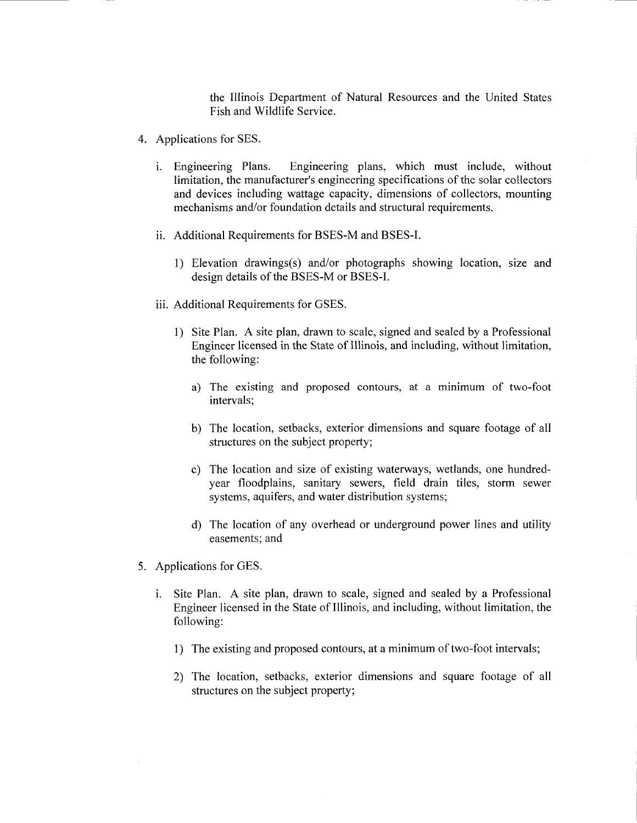the Illinois Department of Natural Resources and the United States Fish and Wildlife Service.

- 4. Applications for SES.
	- i. Engineering Plans. Engineering plans, which must include, without limitation, the manufacturer's engineering specifications of the solar collectors and devices including wattage capacity, dimensions of collectors, mounting mechanisms and/or foundation details and structural requirements.
	- ii. Additional Requirements for BSES-M and BSES-I.
		- 1) Elevation drawings(s) and/or photographs showing location, size and design details of the BSES-M or BSES-I.
	- iii. Additional Requirements for GSES.
		- 1) Site Plan. A site plan, drawn to scale, signed and sealed by <sup>a</sup> Professional Engineer licensed in the State of Illinois, and including, without limitation, the following:
			- a) The existing and proposed contours, at <sup>a</sup> minimum of two-foot intervals;
			- b) The location, setbacks, exterior dimensions and square footage of all structures on the subject property;
			- c) The location and size of existing waterways, wetlands, one hundredyear floodplains, sanitary sewers, field drain tiles, storm sewer systems, aquifers, and water distribution systems;
			- d) The location of any overhead or underground power lines and utility easements; and
- 5. Applications for GES.
	- i. Site Plan. A site plan, drawn to scale, signed and sealed by <sup>a</sup> Professional Engineer licensed in the State of Illinois, and including, without limitation, the following:
		- 1) The existing and proposed contours, at <sup>a</sup> minimum of two-foot intervals;
		- 2) The location, setbacks, exterior dimensions and square footage of all structures on the subject property;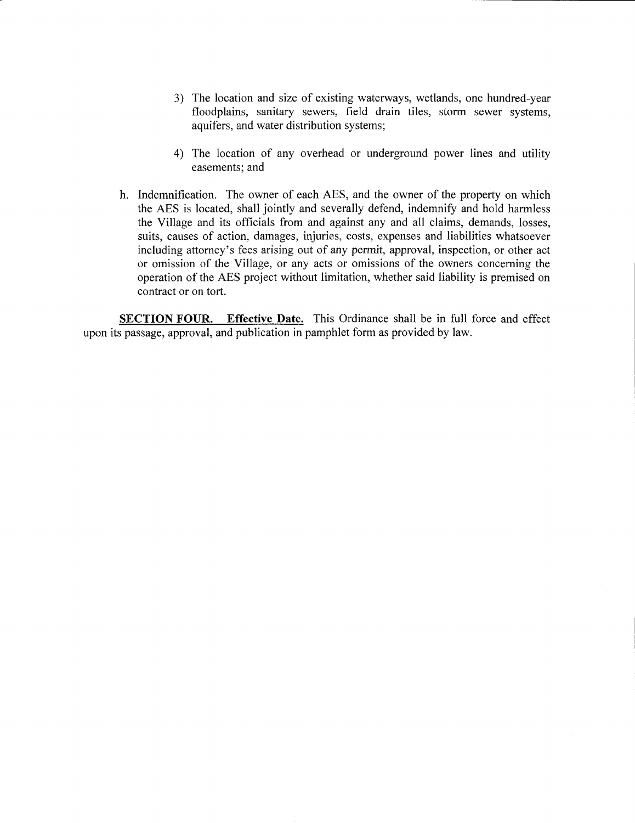- 3) The location and size of existing waterways, wetlands, one hundred-year floodplains, sanitary sewers, field drain tiles, storm sewer systems, aquifers, and water distribution systems;
- 4) The location of any overhead or underground power lines and utility easements; and
- h. Indemnification. The owner of each AES, and the owner of the property on which the AES is located, shall jointly and severally defend, indemnify and hold harmless the Village and its officials from and against any and all claims, demands, losses, suits, causes of action, damages, injuries, costs, expenses and liabilities whatsoever including attorney's fees arising out of any permit, approval, inspection, or other act or omission of the Village, or any acts or omissions of the owners concerning the operation of the AES project without limitation, whether said liability is premised on contract or on tort.

SECTION FOUR. Effective Date. This Ordinance shall be in full force and effect upon its passage, approval, and publication in pamphlet form as provided by law.